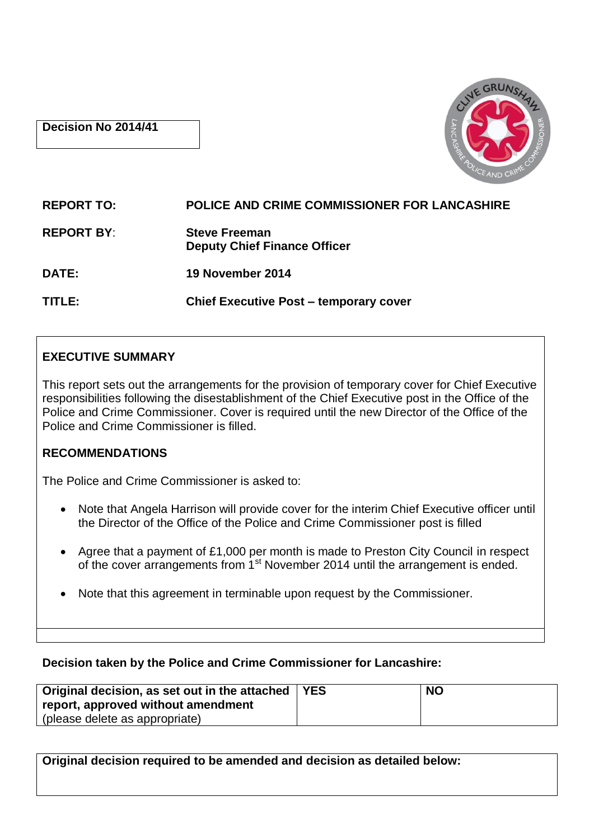### **Decision No 2014/41**



# **REPORT TO: POLICE AND CRIME COMMISSIONER FOR LANCASHIRE REPORT BY**: **Steve Freeman Deputy Chief Finance Officer DATE: 19 November 2014 TITLE: Chief Executive Post – temporary cover**

## **EXECUTIVE SUMMARY**

This report sets out the arrangements for the provision of temporary cover for Chief Executive responsibilities following the disestablishment of the Chief Executive post in the Office of the Police and Crime Commissioner. Cover is required until the new Director of the Office of the Police and Crime Commissioner is filled.

## **RECOMMENDATIONS**

The Police and Crime Commissioner is asked to:

- Note that Angela Harrison will provide cover for the interim Chief Executive officer until the Director of the Office of the Police and Crime Commissioner post is filled
- Agree that a payment of £1,000 per month is made to Preston City Council in respect of the cover arrangements from 1<sup>st</sup> November 2014 until the arrangement is ended.
- Note that this agreement in terminable upon request by the Commissioner.

## **Decision taken by the Police and Crime Commissioner for Lancashire:**

| Original decision, as set out in the attached   YES | <b>NO</b> |
|-----------------------------------------------------|-----------|
| report, approved without amendment                  |           |
| (please delete as appropriate)                      |           |

**Original decision required to be amended and decision as detailed below:**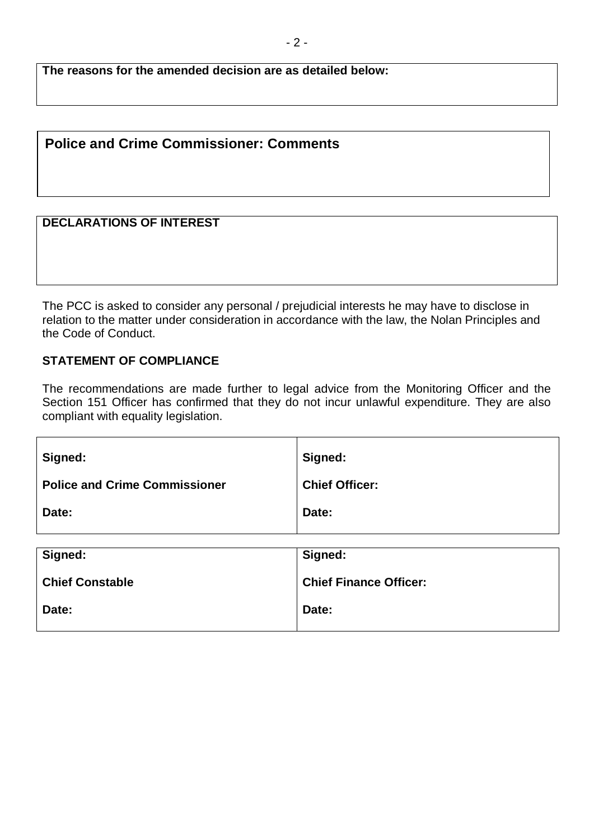**The reasons for the amended decision are as detailed below:**

## **Police and Crime Commissioner: Comments**

#### **DECLARATIONS OF INTEREST**

The PCC is asked to consider any personal / prejudicial interests he may have to disclose in relation to the matter under consideration in accordance with the law, the Nolan Principles and the Code of Conduct.

## **STATEMENT OF COMPLIANCE**

The recommendations are made further to legal advice from the Monitoring Officer and the Section 151 Officer has confirmed that they do not incur unlawful expenditure. They are also compliant with equality legislation.

| Signed:                              | Signed:                       |
|--------------------------------------|-------------------------------|
| <b>Police and Crime Commissioner</b> | <b>Chief Officer:</b>         |
| Date:                                | Date:                         |
|                                      |                               |
| Signed:                              | Signed:                       |
| <b>Chief Constable</b>               | <b>Chief Finance Officer:</b> |
| Date:                                | Date:                         |